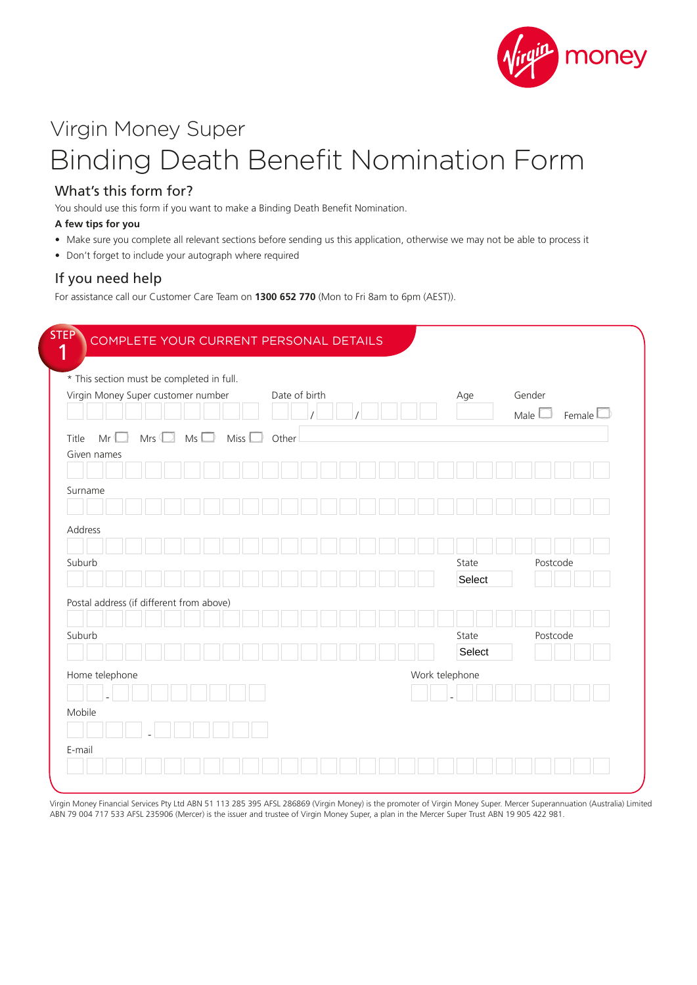

# Virgin Money Super Binding Death Benefit Nomination Form

## What's this form for?

You should use this form if you want to make a Binding Death Benefit Nomination.

#### **A few tips for you**

- Make sure you complete all relevant sections before sending us this application, otherwise we may not be able to process it
- Don't forget to include your autograph where required

## If you need help

For assistance call our Customer Care Team on **1300 652 770** (Mon to Fri 8am to 6pm (AEST)).

| * This section must be completed in full. |          |     |              |      |  |               |  |  |  |                |       |        |                   |          |                  |
|-------------------------------------------|----------|-----|--------------|------|--|---------------|--|--|--|----------------|-------|--------|-------------------|----------|------------------|
| Virgin Money Super customer number        |          |     |              |      |  | Date of birth |  |  |  |                | Age   |        | Gender            |          |                  |
|                                           |          |     |              |      |  |               |  |  |  |                |       |        | Male <sup>1</sup> |          | Female $\square$ |
| Title<br>Mr <sup>6</sup><br>Given names   | Mrs $\P$ | - 1 | Ms<br>$\Box$ | Miss |  | Other         |  |  |  |                |       |        |                   |          |                  |
|                                           |          |     |              |      |  |               |  |  |  |                |       |        |                   |          |                  |
| Surname                                   |          |     |              |      |  |               |  |  |  |                |       |        |                   |          |                  |
|                                           |          |     |              |      |  |               |  |  |  |                |       |        |                   |          |                  |
| Address                                   |          |     |              |      |  |               |  |  |  |                |       |        |                   |          |                  |
|                                           |          |     |              |      |  |               |  |  |  |                |       |        |                   |          |                  |
| Suburb                                    |          |     |              |      |  |               |  |  |  |                | State |        |                   | Postcode |                  |
|                                           |          |     |              |      |  |               |  |  |  |                |       | Select |                   |          |                  |
| Postal address (if different from above)  |          |     |              |      |  |               |  |  |  |                |       |        |                   |          |                  |
| Suburb                                    |          |     |              |      |  |               |  |  |  |                | State |        |                   | Postcode |                  |
|                                           |          |     |              |      |  |               |  |  |  |                |       | Select |                   |          |                  |
|                                           |          |     |              |      |  |               |  |  |  |                |       |        |                   |          |                  |
| Home telephone                            |          |     |              |      |  |               |  |  |  | Work telephone |       |        |                   |          |                  |
| Mobile                                    |          |     |              |      |  |               |  |  |  |                |       |        |                   |          |                  |
|                                           |          |     |              |      |  |               |  |  |  |                |       |        |                   |          |                  |
|                                           |          |     |              |      |  |               |  |  |  |                |       |        |                   |          |                  |

Virgin Money Financial Services Pty Ltd ABN 51 113 285 395 AFSL 286869 (Virgin Money) is the promoter of Virgin Money Super. Mercer Superannuation (Australia) Limited ABN 79 004 717 533 AFSL 235906 (Mercer) is the issuer and trustee of Virgin Money Super, a plan in the Mercer Super Trust ABN 19 905 422 981.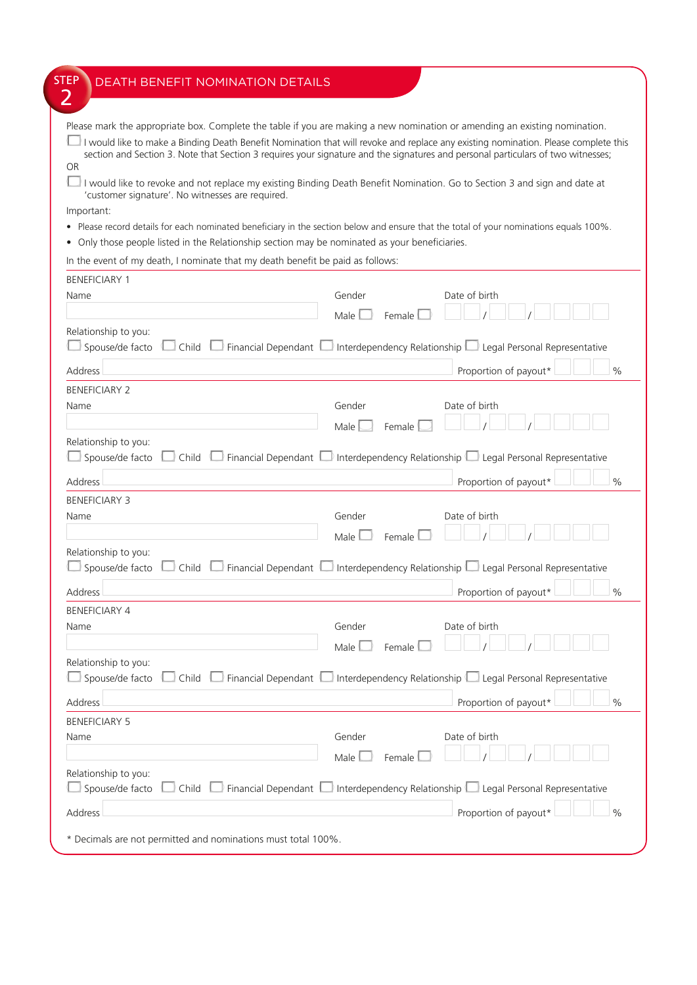| <b>STEP</b><br>DEATH BENEFIT NOMINATION DETAILS                                                                                                                               |                  |                                                                                                                  |
|-------------------------------------------------------------------------------------------------------------------------------------------------------------------------------|------------------|------------------------------------------------------------------------------------------------------------------|
| 2                                                                                                                                                                             |                  |                                                                                                                  |
|                                                                                                                                                                               |                  |                                                                                                                  |
| Please mark the appropriate box. Complete the table if you are making a new nomination or amending an existing nomination.                                                    |                  |                                                                                                                  |
| I would like to make a Binding Death Benefit Nomination that will revoke and replace any existing nomination. Please complete this                                            |                  |                                                                                                                  |
| section and Section 3. Note that Section 3 requires your signature and the signatures and personal particulars of two witnesses;                                              |                  |                                                                                                                  |
| <b>OR</b>                                                                                                                                                                     |                  |                                                                                                                  |
| I would like to revoke and not replace my existing Binding Death Benefit Nomination. Go to Section 3 and sign and date at<br>'customer signature'. No witnesses are required. |                  |                                                                                                                  |
| Important:                                                                                                                                                                    |                  |                                                                                                                  |
| . Please record details for each nominated beneficiary in the section below and ensure that the total of your nominations equals 100%.                                        |                  |                                                                                                                  |
| • Only those people listed in the Relationship section may be nominated as your beneficiaries.                                                                                |                  |                                                                                                                  |
| In the event of my death, I nominate that my death benefit be paid as follows:                                                                                                |                  |                                                                                                                  |
| <b>BENEFICIARY 1</b>                                                                                                                                                          |                  |                                                                                                                  |
| Name                                                                                                                                                                          | Gender           | Date of birth                                                                                                    |
|                                                                                                                                                                               |                  |                                                                                                                  |
|                                                                                                                                                                               | Male<br>Female   |                                                                                                                  |
| Relationship to you:                                                                                                                                                          |                  |                                                                                                                  |
| Spouse/de facto<br>$\Box$ Child $\Box$<br>$\Box$ Financial Dependant $\Box$                                                                                                   |                  | $\Box$ Interdependency Relationship $\Box$ Legal Personal Representative                                         |
| Address                                                                                                                                                                       |                  | Proportion of payout*<br>$\frac{0}{0}$                                                                           |
| <b>BENEFICIARY 2</b>                                                                                                                                                          |                  |                                                                                                                  |
| Name                                                                                                                                                                          | Gender           | Date of birth                                                                                                    |
|                                                                                                                                                                               | Male<br>Female   |                                                                                                                  |
| Relationship to you:                                                                                                                                                          |                  |                                                                                                                  |
| Spouse/de facto<br>$\Box$ Child<br>$\Box$ Financial Dependant $\mathfrak l$                                                                                                   |                  | $\Box$ Interdependency Relationship $\Box$ Legal Personal Representative                                         |
|                                                                                                                                                                               |                  |                                                                                                                  |
| Address                                                                                                                                                                       |                  | Proportion of payout*<br>$\frac{0}{0}$                                                                           |
| <b>BENEFICIARY 3</b>                                                                                                                                                          |                  |                                                                                                                  |
| Name                                                                                                                                                                          | Gender           | Date of birth                                                                                                    |
|                                                                                                                                                                               | Male<br>Female   |                                                                                                                  |
| Relationship to you:                                                                                                                                                          |                  |                                                                                                                  |
| Spouse/de facto<br>Financial Dependant<br>Child                                                                                                                               |                  | Interdependency Relationship Legal Personal Representative                                                       |
|                                                                                                                                                                               |                  |                                                                                                                  |
| Address                                                                                                                                                                       |                  | Proportion of payout*<br>$\frac{0}{0}$                                                                           |
| <b>BENEFICIARY 4</b>                                                                                                                                                          |                  |                                                                                                                  |
| Name                                                                                                                                                                          | Gender           | Date of birth                                                                                                    |
|                                                                                                                                                                               | Male<br>Female   |                                                                                                                  |
| Relationship to you:                                                                                                                                                          |                  |                                                                                                                  |
| Spouse/de facto<br>$\Box$ Financial Dependant $\Box$<br>$\Box$ Child $\Box$                                                                                                   |                  | Interdependency Relationship $\Box$ Legal Personal Representative                                                |
|                                                                                                                                                                               |                  |                                                                                                                  |
| Address                                                                                                                                                                       |                  | Proportion of payout*<br>$\frac{0}{0}$                                                                           |
| <b>BENEFICIARY 5</b>                                                                                                                                                          |                  |                                                                                                                  |
| Name                                                                                                                                                                          | Gender           | Date of birth                                                                                                    |
|                                                                                                                                                                               | Male  <br>Female |                                                                                                                  |
| Relationship to you:                                                                                                                                                          |                  |                                                                                                                  |
| Spouse/de facto                                                                                                                                                               |                  | $\Box$ Child $\Box$ Financial Dependant $\Box$ Interdependency Relationship $\Box$ Legal Personal Representative |
|                                                                                                                                                                               |                  |                                                                                                                  |
| Address                                                                                                                                                                       |                  | Proportion of payout*<br>$\frac{0}{0}$                                                                           |
|                                                                                                                                                                               |                  |                                                                                                                  |
| * Decimals are not permitted and nominations must total 100%.                                                                                                                 |                  |                                                                                                                  |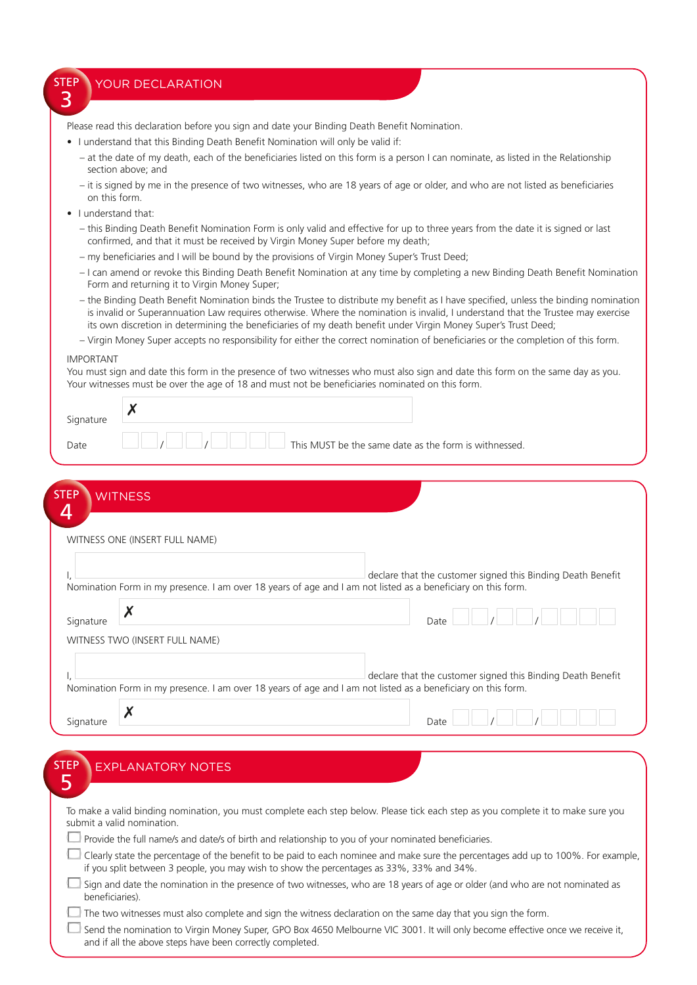### YOUR DECLARATION

Please read this declaration before you sign and date your Binding Death Benefit Nomination.

- I understand that this Binding Death Benefit Nomination will only be valid if:
	- at the date of my death, each of the beneficiaries listed on this form is a person I can nominate, as listed in the Relationship section above; and
	- it is signed by me in the presence of two witnesses, who are 18 years of age or older, and who are not listed as beneficiaries on this form.
- I understand that:

**STEP** 3

- this Binding Death Benefit Nomination Form is only valid and effective for up to three years from the date it is signed or last confirmed, and that it must be received by Virgin Money Super before my death;
- my beneficiaries and I will be bound by the provisions of Virgin Money Super's Trust Deed;
- I can amend or revoke this Binding Death Benefit Nomination at any time by completing a new Binding Death Benefit Nomination Form and returning it to Virgin Money Super;
- the Binding Death Benefit Nomination binds the Trustee to distribute my benefit as I have specified, unless the binding nomination is invalid or Superannuation Law requires otherwise. Where the nomination is invalid, I understand that the Trustee may exercise its own discretion in determining the beneficiaries of my death benefit under Virgin Money Super's Trust Deed;
- Virgin Money Super accepts no responsibility for either the correct nomination of beneficiaries or the completion of this form.

#### IMPORTANT

You must sign and date this form in the presence of two witnesses who must also sign and date this form on the same day as you. Your witnesses must be over the age of 18 and must not be beneficiaries nominated on this form.

| Signature |                                                       |
|-----------|-------------------------------------------------------|
| Date      | This MUST be the same date as the form is withnessed. |

| WITNESS ONE (INSERT FULL NAME) |                                                                                                                                                                             |
|--------------------------------|-----------------------------------------------------------------------------------------------------------------------------------------------------------------------------|
|                                | declare that the customer signed this Binding Death Benefit<br>Nomination Form in my presence. I am over 18 years of age and I am not listed as a beneficiary on this form. |
| Signature                      | Date                                                                                                                                                                        |
| WITNESS TWO (INSERT FULL NAME) |                                                                                                                                                                             |
|                                | declare that the customer signed this Binding Death Benefit                                                                                                                 |

| <b>STEP</b> | <b>EXPLANATORY NOTES</b>                                                                                                                                                                                                      |
|-------------|-------------------------------------------------------------------------------------------------------------------------------------------------------------------------------------------------------------------------------|
|             | To make a valid binding nomination, you must complete each step below. Please tick each step as you complete it to make sure you<br>submit a valid nomination.                                                                |
|             | Provide the full name/s and date/s of birth and relationship to you of your nominated beneficiaries.                                                                                                                          |
|             | Clearly state the percentage of the benefit to be paid to each nominee and make sure the percentages add up to 100%. For example,<br>if you split between 3 people, you may wish to show the percentages as 33%, 33% and 34%. |
|             | Sign and date the nomination in the presence of two witnesses, who are 18 years of age or older (and who are not nominated as<br>beneficiaries).                                                                              |
|             | The two witnesses must also complete and sign the witness declaration on the same day that you sign the form.                                                                                                                 |
|             | Send the nomination to Virgin Money Super, GPO Box 4650 Melbourne VIC 3001. It will only become effective once we receive it,<br>and if all the above steps have been correctly completed.                                    |